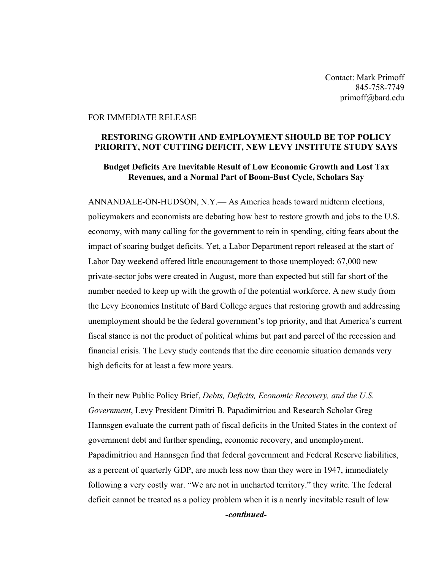Contact: Mark Primoff 845-758-7749 primoff@bard.edu

## FOR IMMEDIATE RELEASE

## **RESTORING GROWTH AND EMPLOYMENT SHOULD BE TOP POLICY PRIORITY, NOT CUTTING DEFICIT, NEW LEVY INSTITUTE STUDY SAYS**

## **Budget Deficits Are Inevitable Result of Low Economic Growth and Lost Tax Revenues, and a Normal Part of Boom-Bust Cycle, Scholars Say**

ANNANDALE-ON-HUDSON, N.Y.— As America heads toward midterm elections, policymakers and economists are debating how best to restore growth and jobs to the U.S. economy, with many calling for the government to rein in spending, citing fears about the impact of soaring budget deficits. Yet, a Labor Department report released at the start of Labor Day weekend offered little encouragement to those unemployed: 67,000 new private-sector jobs were created in August, more than expected but still far short of the number needed to keep up with the growth of the potential workforce. A new study from the Levy Economics Institute of Bard College argues that restoring growth and addressing unemployment should be the federal government's top priority, and that America's current fiscal stance is not the product of political whims but part and parcel of the recession and financial crisis. The Levy study contends that the dire economic situation demands very high deficits for at least a few more years.

In their new Public Policy Brief, *Debts, Deficits, Economic Recovery, and the U.S. Government*, Levy President Dimitri B. Papadimitriou and Research Scholar Greg Hannsgen evaluate the current path of fiscal deficits in the United States in the context of government debt and further spending, economic recovery, and unemployment. Papadimitriou and Hannsgen find that federal government and Federal Reserve liabilities, as a percent of quarterly GDP, are much less now than they were in 1947, immediately following a very costly war. "We are not in uncharted territory." they write. The federal deficit cannot be treated as a policy problem when it is a nearly inevitable result of low

*-continued-*